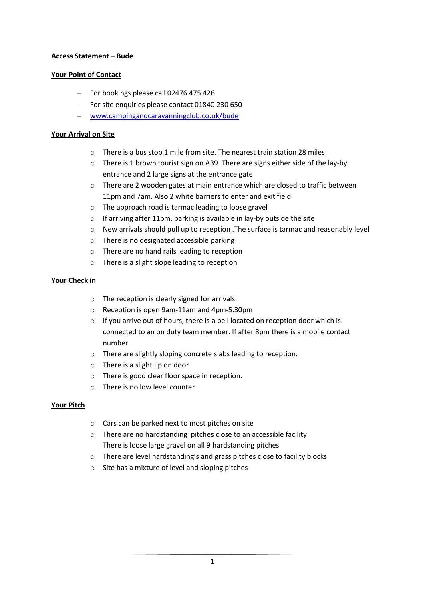# **Access Statement – Bude**

### **Your Point of Contact**

- For bookings please call 02476 475 426
- For site enquiries please contact 01840 230 650
- [www.campingandcaravanningclub.co.uk/bude](http://www.campingandcaravanningclub.co.uk/bude)

### **Your Arrival on Site**

- o There is a bus stop 1 mile from site. The nearest train station 28 miles
- o There is 1 brown tourist sign on A39. There are signs either side of the lay-by entrance and 2 large signs at the entrance gate
- o There are 2 wooden gates at main entrance which are closed to traffic between 11pm and 7am. Also 2 white barriers to enter and exit field
- o The approach road is tarmac leading to loose gravel
- o If arriving after 11pm, parking is available in lay-by outside the site
- $\circ$  New arrivals should pull up to reception . The surface is tarmac and reasonably level
- o There is no designated accessible parking
- o There are no hand rails leading to reception
- o There is a slight slope leading to reception

# **Your Check in**

- o The reception is clearly signed for arrivals.
- o Reception is open 9am-11am and 4pm-5.30pm
- o If you arrive out of hours, there is a bell located on reception door which is connected to an on duty team member. If after 8pm there is a mobile contact number
- o There are slightly sloping concrete slabs leading to reception.
- o There is a slight lip on door
- o There is good clear floor space in reception.
- o There is no low level counter

### **Your Pitch**

- o Cars can be parked next to most pitches on site
- o There are no hardstanding pitches close to an accessible facility There is loose large gravel on all 9 hardstanding pitches
- o There are level hardstanding's and grass pitches close to facility blocks
- o Site has a mixture of level and sloping pitches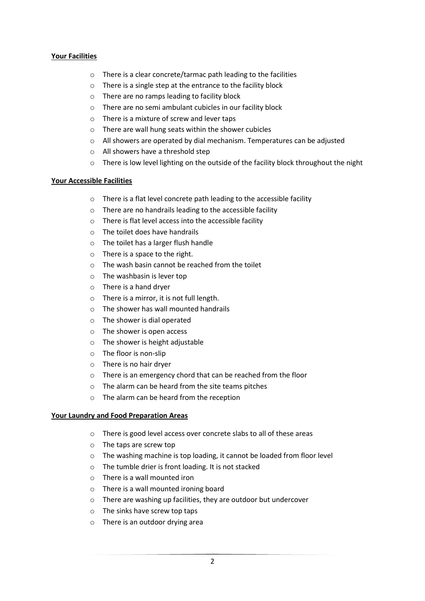### **Your Facilities**

- o There is a clear concrete/tarmac path leading to the facilities
- o There is a single step at the entrance to the facility block
- o There are no ramps leading to facility block
- o There are no semi ambulant cubicles in our facility block
- o There is a mixture of screw and lever taps
- o There are wall hung seats within the shower cubicles
- o All showers are operated by dial mechanism. Temperatures can be adjusted
- o All showers have a threshold step
- o There is low level lighting on the outside of the facility block throughout the night

### **Your Accessible Facilities**

- o There is a flat level concrete path leading to the accessible facility
- o There are no handrails leading to the accessible facility
- o There is flat level access into the accessible facility
- $\circ$  The toilet does have handrails
- o The toilet has a larger flush handle
- o There is a space to the right.
- o The wash basin cannot be reached from the toilet
- o The washbasin is lever top
- o There is a hand dryer
- o There is a mirror, it is not full length.
- o The shower has wall mounted handrails
- o The shower is dial operated
- o The shower is open access
- o The shower is height adjustable
- o The floor is non-slip
- o There is no hair dryer
- o There is an emergency chord that can be reached from the floor
- o The alarm can be heard from the site teams pitches
- o The alarm can be heard from the reception

### **Your Laundry and Food Preparation Areas**

- o There is good level access over concrete slabs to all of these areas
- o The taps are screw top
- o The washing machine is top loading, it cannot be loaded from floor level
- o The tumble drier is front loading. It is not stacked
- o There is a wall mounted iron
- o There is a wall mounted ironing board
- o There are washing up facilities, they are outdoor but undercover
- o The sinks have screw top taps
- o There is an outdoor drying area